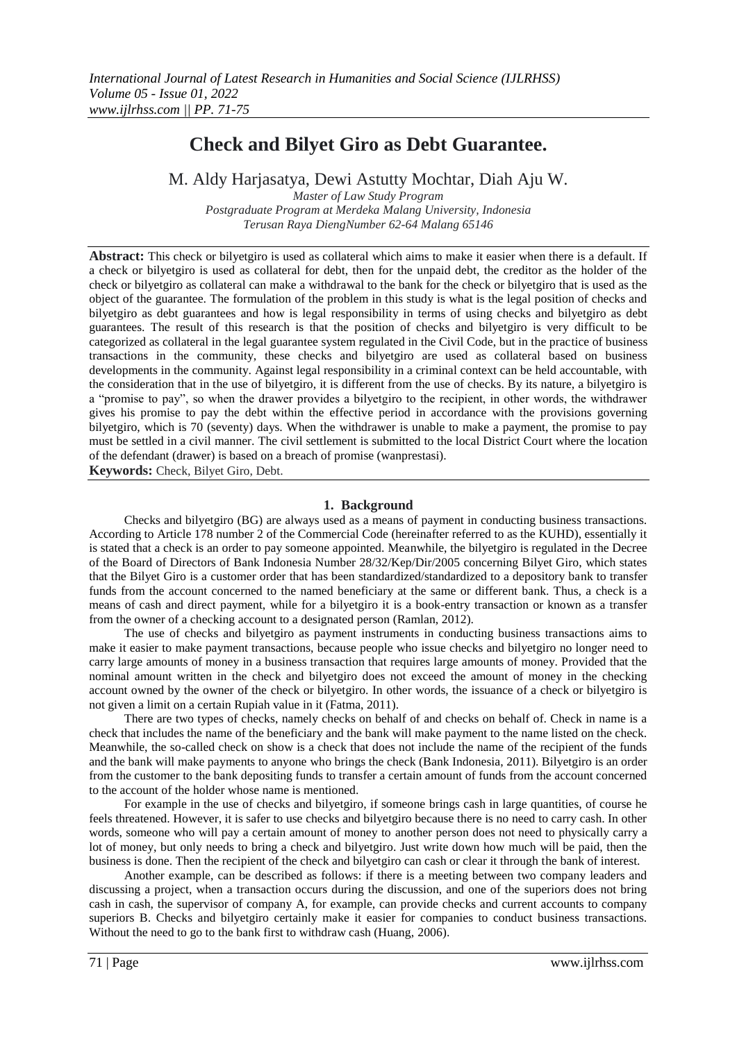# **Check and Bilyet Giro as Debt Guarantee.**

M. Aldy Harjasatya, Dewi Astutty Mochtar, Diah Aju W.

*Master of Law Study Program Postgraduate Program at Merdeka Malang University, Indonesia Terusan Raya DiengNumber 62-64 Malang 65146* 

**Abstract:** This check or bilyetgiro is used as collateral which aims to make it easier when there is a default. If a check or bilyetgiro is used as collateral for debt, then for the unpaid debt, the creditor as the holder of the check or bilyetgiro as collateral can make a withdrawal to the bank for the check or bilyetgiro that is used as the object of the guarantee. The formulation of the problem in this study is what is the legal position of checks and bilyetgiro as debt guarantees and how is legal responsibility in terms of using checks and bilyetgiro as debt guarantees. The result of this research is that the position of checks and bilyetgiro is very difficult to be categorized as collateral in the legal guarantee system regulated in the Civil Code, but in the practice of business transactions in the community, these checks and bilyetgiro are used as collateral based on business developments in the community. Against legal responsibility in a criminal context can be held accountable, with the consideration that in the use of bilyetgiro, it is different from the use of checks. By its nature, a bilyetgiro is a "promise to pay", so when the drawer provides a bilyetgiro to the recipient, in other words, the withdrawer gives his promise to pay the debt within the effective period in accordance with the provisions governing bilyetgiro, which is 70 (seventy) days. When the withdrawer is unable to make a payment, the promise to pay must be settled in a civil manner. The civil settlement is submitted to the local District Court where the location of the defendant (drawer) is based on a breach of promise (wanprestasi).

**Keywords:** Check, Bilyet Giro, Debt.

## **1. Background**

Checks and bilyetgiro (BG) are always used as a means of payment in conducting business transactions. According to Article 178 number 2 of the Commercial Code (hereinafter referred to as the KUHD), essentially it is stated that a check is an order to pay someone appointed. Meanwhile, the bilyetgiro is regulated in the Decree of the Board of Directors of Bank Indonesia Number 28/32/Kep/Dir/2005 concerning Bilyet Giro, which states that the Bilyet Giro is a customer order that has been standardized/standardized to a depository bank to transfer funds from the account concerned to the named beneficiary at the same or different bank. Thus, a check is a means of cash and direct payment, while for a bilyetgiro it is a book-entry transaction or known as a transfer from the owner of a checking account to a designated person (Ramlan, 2012).

The use of checks and bilyetgiro as payment instruments in conducting business transactions aims to make it easier to make payment transactions, because people who issue checks and bilyetgiro no longer need to carry large amounts of money in a business transaction that requires large amounts of money. Provided that the nominal amount written in the check and bilyetgiro does not exceed the amount of money in the checking account owned by the owner of the check or bilyetgiro. In other words, the issuance of a check or bilyetgiro is not given a limit on a certain Rupiah value in it (Fatma, 2011).

There are two types of checks, namely checks on behalf of and checks on behalf of. Check in name is a check that includes the name of the beneficiary and the bank will make payment to the name listed on the check. Meanwhile, the so-called check on show is a check that does not include the name of the recipient of the funds and the bank will make payments to anyone who brings the check (Bank Indonesia, 2011). Bilyetgiro is an order from the customer to the bank depositing funds to transfer a certain amount of funds from the account concerned to the account of the holder whose name is mentioned.

For example in the use of checks and bilyetgiro, if someone brings cash in large quantities, of course he feels threatened. However, it is safer to use checks and bilyetgiro because there is no need to carry cash. In other words, someone who will pay a certain amount of money to another person does not need to physically carry a lot of money, but only needs to bring a check and bilyetgiro. Just write down how much will be paid, then the business is done. Then the recipient of the check and bilyetgiro can cash or clear it through the bank of interest.

Another example, can be described as follows: if there is a meeting between two company leaders and discussing a project, when a transaction occurs during the discussion, and one of the superiors does not bring cash in cash, the supervisor of company A, for example, can provide checks and current accounts to company superiors B. Checks and bilyetgiro certainly make it easier for companies to conduct business transactions. Without the need to go to the bank first to withdraw cash (Huang, 2006).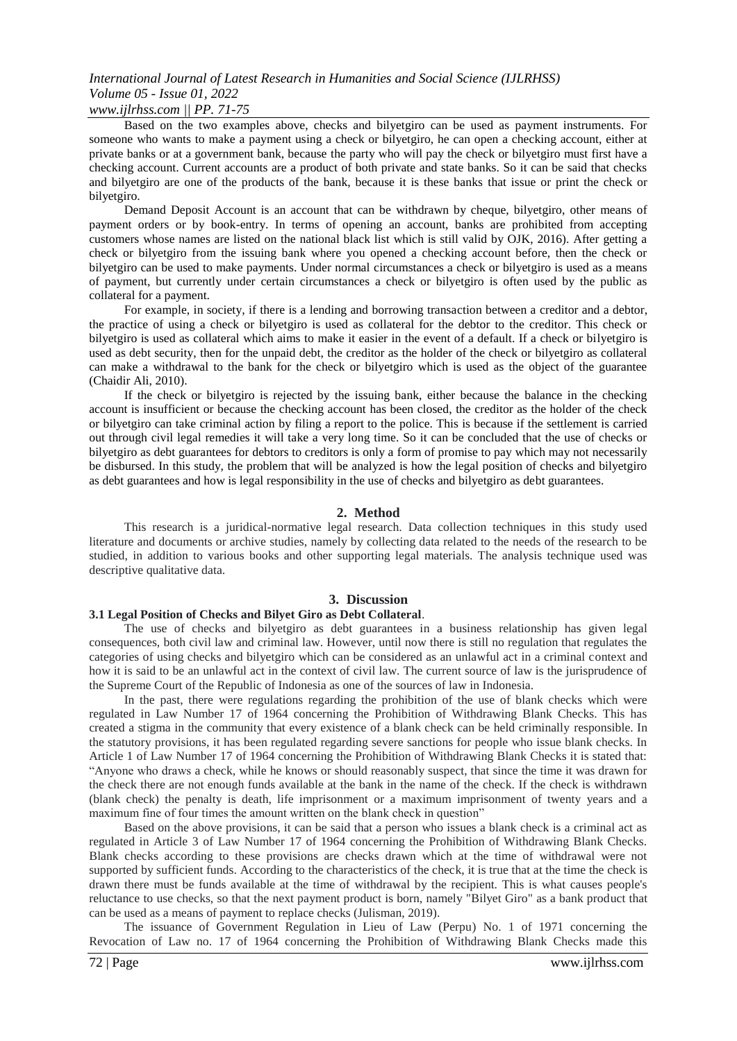## *www.ijlrhss.com || PP. 71-75*

Based on the two examples above, checks and bilyetgiro can be used as payment instruments. For someone who wants to make a payment using a check or bilyetgiro, he can open a checking account, either at private banks or at a government bank, because the party who will pay the check or bilyetgiro must first have a checking account. Current accounts are a product of both private and state banks. So it can be said that checks and bilyetgiro are one of the products of the bank, because it is these banks that issue or print the check or bilyetgiro.

Demand Deposit Account is an account that can be withdrawn by cheque, bilyetgiro, other means of payment orders or by book-entry. In terms of opening an account, banks are prohibited from accepting customers whose names are listed on the national black list which is still valid by OJK, 2016). After getting a check or bilyetgiro from the issuing bank where you opened a checking account before, then the check or bilyetgiro can be used to make payments. Under normal circumstances a check or bilyetgiro is used as a means of payment, but currently under certain circumstances a check or bilyetgiro is often used by the public as collateral for a payment.

For example, in society, if there is a lending and borrowing transaction between a creditor and a debtor, the practice of using a check or bilyetgiro is used as collateral for the debtor to the creditor. This check or bilyetgiro is used as collateral which aims to make it easier in the event of a default. If a check or bilyetgiro is used as debt security, then for the unpaid debt, the creditor as the holder of the check or bilyetgiro as collateral can make a withdrawal to the bank for the check or bilyetgiro which is used as the object of the guarantee (Chaidir Ali, 2010).

If the check or bilyetgiro is rejected by the issuing bank, either because the balance in the checking account is insufficient or because the checking account has been closed, the creditor as the holder of the check or bilyetgiro can take criminal action by filing a report to the police. This is because if the settlement is carried out through civil legal remedies it will take a very long time. So it can be concluded that the use of checks or bilyetgiro as debt guarantees for debtors to creditors is only a form of promise to pay which may not necessarily be disbursed. In this study, the problem that will be analyzed is how the legal position of checks and bilyetgiro as debt guarantees and how is legal responsibility in the use of checks and bilyetgiro as debt guarantees.

#### **2. Method**

This research is a juridical-normative legal research. Data collection techniques in this study used literature and documents or archive studies, namely by collecting data related to the needs of the research to be studied, in addition to various books and other supporting legal materials. The analysis technique used was descriptive qualitative data.

#### **3. Discussion**

#### **3.1 Legal Position of Checks and Bilyet Giro as Debt Collateral**.

The use of checks and bilyetgiro as debt guarantees in a business relationship has given legal consequences, both civil law and criminal law. However, until now there is still no regulation that regulates the categories of using checks and bilyetgiro which can be considered as an unlawful act in a criminal context and how it is said to be an unlawful act in the context of civil law. The current source of law is the jurisprudence of the Supreme Court of the Republic of Indonesia as one of the sources of law in Indonesia.

In the past, there were regulations regarding the prohibition of the use of blank checks which were regulated in Law Number 17 of 1964 concerning the Prohibition of Withdrawing Blank Checks. This has created a stigma in the community that every existence of a blank check can be held criminally responsible. In the statutory provisions, it has been regulated regarding severe sanctions for people who issue blank checks. In Article 1 of Law Number 17 of 1964 concerning the Prohibition of Withdrawing Blank Checks it is stated that: "Anyone who draws a check, while he knows or should reasonably suspect, that since the time it was drawn for the check there are not enough funds available at the bank in the name of the check. If the check is withdrawn (blank check) the penalty is death, life imprisonment or a maximum imprisonment of twenty years and a maximum fine of four times the amount written on the blank check in question"

Based on the above provisions, it can be said that a person who issues a blank check is a criminal act as regulated in Article 3 of Law Number 17 of 1964 concerning the Prohibition of Withdrawing Blank Checks. Blank checks according to these provisions are checks drawn which at the time of withdrawal were not supported by sufficient funds. According to the characteristics of the check, it is true that at the time the check is drawn there must be funds available at the time of withdrawal by the recipient. This is what causes people's reluctance to use checks, so that the next payment product is born, namely "Bilyet Giro" as a bank product that can be used as a means of payment to replace checks (Julisman, 2019).

The issuance of Government Regulation in Lieu of Law (Perpu) No. 1 of 1971 concerning the Revocation of Law no. 17 of 1964 concerning the Prohibition of Withdrawing Blank Checks made this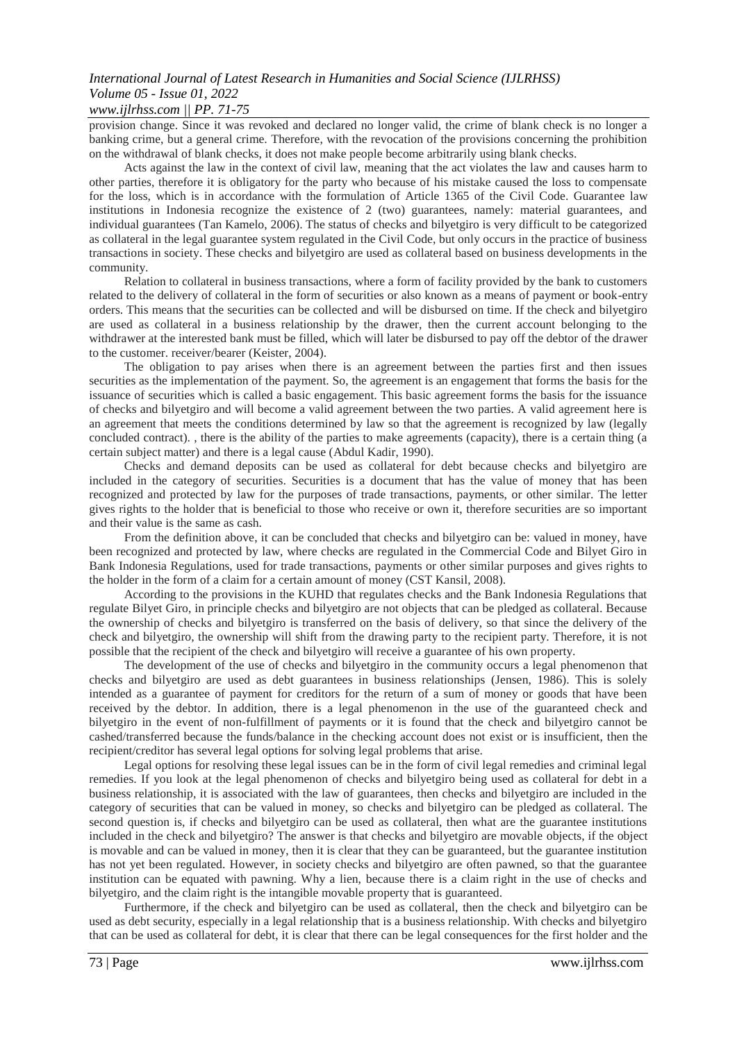## *www.ijlrhss.com || PP. 71-75*

provision change. Since it was revoked and declared no longer valid, the crime of blank check is no longer a banking crime, but a general crime. Therefore, with the revocation of the provisions concerning the prohibition on the withdrawal of blank checks, it does not make people become arbitrarily using blank checks.

Acts against the law in the context of civil law, meaning that the act violates the law and causes harm to other parties, therefore it is obligatory for the party who because of his mistake caused the loss to compensate for the loss, which is in accordance with the formulation of Article 1365 of the Civil Code. Guarantee law institutions in Indonesia recognize the existence of 2 (two) guarantees, namely: material guarantees, and individual guarantees (Tan Kamelo, 2006). The status of checks and bilyetgiro is very difficult to be categorized as collateral in the legal guarantee system regulated in the Civil Code, but only occurs in the practice of business transactions in society. These checks and bilyetgiro are used as collateral based on business developments in the community.

Relation to collateral in business transactions, where a form of facility provided by the bank to customers related to the delivery of collateral in the form of securities or also known as a means of payment or book-entry orders. This means that the securities can be collected and will be disbursed on time. If the check and bilyetgiro are used as collateral in a business relationship by the drawer, then the current account belonging to the withdrawer at the interested bank must be filled, which will later be disbursed to pay off the debtor of the drawer to the customer. receiver/bearer (Keister, 2004).

The obligation to pay arises when there is an agreement between the parties first and then issues securities as the implementation of the payment. So, the agreement is an engagement that forms the basis for the issuance of securities which is called a basic engagement. This basic agreement forms the basis for the issuance of checks and bilyetgiro and will become a valid agreement between the two parties. A valid agreement here is an agreement that meets the conditions determined by law so that the agreement is recognized by law (legally concluded contract). , there is the ability of the parties to make agreements (capacity), there is a certain thing (a certain subject matter) and there is a legal cause (Abdul Kadir, 1990).

Checks and demand deposits can be used as collateral for debt because checks and bilyetgiro are included in the category of securities. Securities is a document that has the value of money that has been recognized and protected by law for the purposes of trade transactions, payments, or other similar. The letter gives rights to the holder that is beneficial to those who receive or own it, therefore securities are so important and their value is the same as cash.

From the definition above, it can be concluded that checks and bilyetgiro can be: valued in money, have been recognized and protected by law, where checks are regulated in the Commercial Code and Bilyet Giro in Bank Indonesia Regulations, used for trade transactions, payments or other similar purposes and gives rights to the holder in the form of a claim for a certain amount of money (CST Kansil, 2008).

According to the provisions in the KUHD that regulates checks and the Bank Indonesia Regulations that regulate Bilyet Giro, in principle checks and bilyetgiro are not objects that can be pledged as collateral. Because the ownership of checks and bilyetgiro is transferred on the basis of delivery, so that since the delivery of the check and bilyetgiro, the ownership will shift from the drawing party to the recipient party. Therefore, it is not possible that the recipient of the check and bilyetgiro will receive a guarantee of his own property.

The development of the use of checks and bilyetgiro in the community occurs a legal phenomenon that checks and bilyetgiro are used as debt guarantees in business relationships (Jensen, 1986). This is solely intended as a guarantee of payment for creditors for the return of a sum of money or goods that have been received by the debtor. In addition, there is a legal phenomenon in the use of the guaranteed check and bilyetgiro in the event of non-fulfillment of payments or it is found that the check and bilyetgiro cannot be cashed/transferred because the funds/balance in the checking account does not exist or is insufficient, then the recipient/creditor has several legal options for solving legal problems that arise.

Legal options for resolving these legal issues can be in the form of civil legal remedies and criminal legal remedies. If you look at the legal phenomenon of checks and bilyetgiro being used as collateral for debt in a business relationship, it is associated with the law of guarantees, then checks and bilyetgiro are included in the category of securities that can be valued in money, so checks and bilyetgiro can be pledged as collateral. The second question is, if checks and bilyetgiro can be used as collateral, then what are the guarantee institutions included in the check and bilyetgiro? The answer is that checks and bilyetgiro are movable objects, if the object is movable and can be valued in money, then it is clear that they can be guaranteed, but the guarantee institution has not yet been regulated. However, in society checks and bilyetgiro are often pawned, so that the guarantee institution can be equated with pawning. Why a lien, because there is a claim right in the use of checks and bilyetgiro, and the claim right is the intangible movable property that is guaranteed.

Furthermore, if the check and bilyetgiro can be used as collateral, then the check and bilyetgiro can be used as debt security, especially in a legal relationship that is a business relationship. With checks and bilyetgiro that can be used as collateral for debt, it is clear that there can be legal consequences for the first holder and the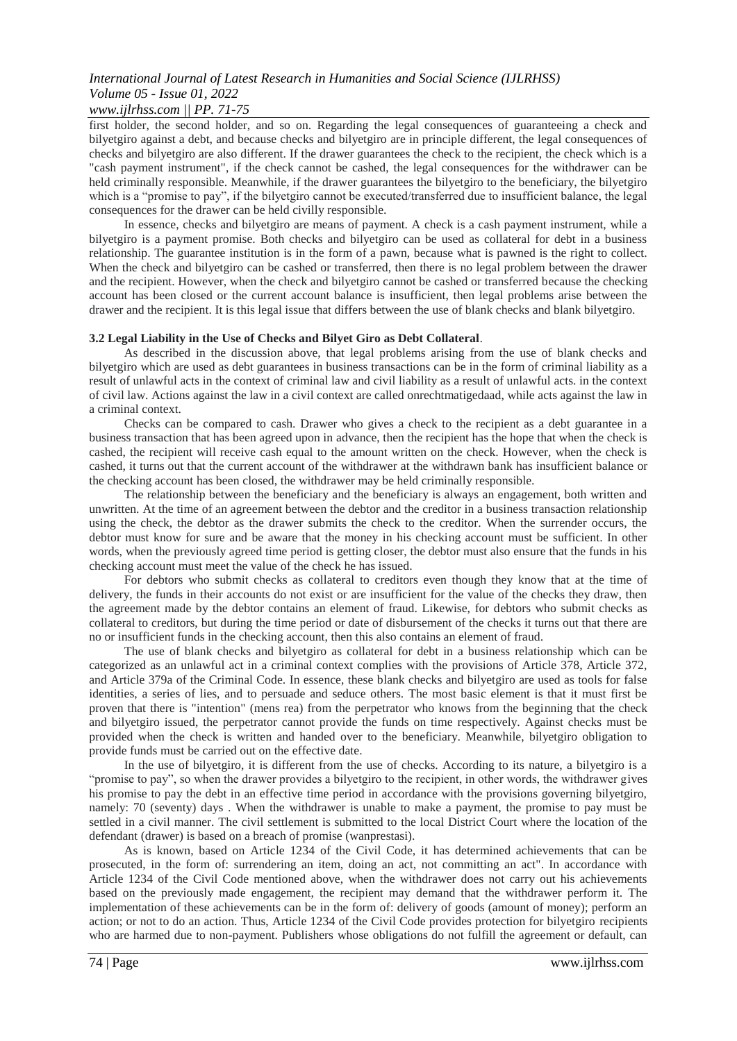## *www.ijlrhss.com || PP. 71-75*

first holder, the second holder, and so on. Regarding the legal consequences of guaranteeing a check and bilyetgiro against a debt, and because checks and bilyetgiro are in principle different, the legal consequences of checks and bilyetgiro are also different. If the drawer guarantees the check to the recipient, the check which is a "cash payment instrument", if the check cannot be cashed, the legal consequences for the withdrawer can be held criminally responsible. Meanwhile, if the drawer guarantees the bilyetgiro to the beneficiary, the bilyetgiro which is a "promise to pay", if the bilyetgiro cannot be executed/transferred due to insufficient balance, the legal consequences for the drawer can be held civilly responsible.

In essence, checks and bilyetgiro are means of payment. A check is a cash payment instrument, while a bilyetgiro is a payment promise. Both checks and bilyetgiro can be used as collateral for debt in a business relationship. The guarantee institution is in the form of a pawn, because what is pawned is the right to collect. When the check and bilyetgiro can be cashed or transferred, then there is no legal problem between the drawer and the recipient. However, when the check and bilyetgiro cannot be cashed or transferred because the checking account has been closed or the current account balance is insufficient, then legal problems arise between the drawer and the recipient. It is this legal issue that differs between the use of blank checks and blank bilyetgiro.

#### **3.2 Legal Liability in the Use of Checks and Bilyet Giro as Debt Collateral**.

As described in the discussion above, that legal problems arising from the use of blank checks and bilyetgiro which are used as debt guarantees in business transactions can be in the form of criminal liability as a result of unlawful acts in the context of criminal law and civil liability as a result of unlawful acts. in the context of civil law. Actions against the law in a civil context are called onrechtmatigedaad, while acts against the law in a criminal context.

Checks can be compared to cash. Drawer who gives a check to the recipient as a debt guarantee in a business transaction that has been agreed upon in advance, then the recipient has the hope that when the check is cashed, the recipient will receive cash equal to the amount written on the check. However, when the check is cashed, it turns out that the current account of the withdrawer at the withdrawn bank has insufficient balance or the checking account has been closed, the withdrawer may be held criminally responsible.

The relationship between the beneficiary and the beneficiary is always an engagement, both written and unwritten. At the time of an agreement between the debtor and the creditor in a business transaction relationship using the check, the debtor as the drawer submits the check to the creditor. When the surrender occurs, the debtor must know for sure and be aware that the money in his checking account must be sufficient. In other words, when the previously agreed time period is getting closer, the debtor must also ensure that the funds in his checking account must meet the value of the check he has issued.

For debtors who submit checks as collateral to creditors even though they know that at the time of delivery, the funds in their accounts do not exist or are insufficient for the value of the checks they draw, then the agreement made by the debtor contains an element of fraud. Likewise, for debtors who submit checks as collateral to creditors, but during the time period or date of disbursement of the checks it turns out that there are no or insufficient funds in the checking account, then this also contains an element of fraud.

The use of blank checks and bilyetgiro as collateral for debt in a business relationship which can be categorized as an unlawful act in a criminal context complies with the provisions of Article 378, Article 372, and Article 379a of the Criminal Code. In essence, these blank checks and bilyetgiro are used as tools for false identities, a series of lies, and to persuade and seduce others. The most basic element is that it must first be proven that there is "intention" (mens rea) from the perpetrator who knows from the beginning that the check and bilyetgiro issued, the perpetrator cannot provide the funds on time respectively. Against checks must be provided when the check is written and handed over to the beneficiary. Meanwhile, bilyetgiro obligation to provide funds must be carried out on the effective date.

In the use of bilyetgiro, it is different from the use of checks. According to its nature, a bilyetgiro is a "promise to pay", so when the drawer provides a bilyetgiro to the recipient, in other words, the withdrawer gives his promise to pay the debt in an effective time period in accordance with the provisions governing bilyetgiro, namely: 70 (seventy) days . When the withdrawer is unable to make a payment, the promise to pay must be settled in a civil manner. The civil settlement is submitted to the local District Court where the location of the defendant (drawer) is based on a breach of promise (wanprestasi).

As is known, based on Article 1234 of the Civil Code, it has determined achievements that can be prosecuted, in the form of: surrendering an item, doing an act, not committing an act". In accordance with Article 1234 of the Civil Code mentioned above, when the withdrawer does not carry out his achievements based on the previously made engagement, the recipient may demand that the withdrawer perform it. The implementation of these achievements can be in the form of: delivery of goods (amount of money); perform an action; or not to do an action. Thus, Article 1234 of the Civil Code provides protection for bilyetgiro recipients who are harmed due to non-payment. Publishers whose obligations do not fulfill the agreement or default, can